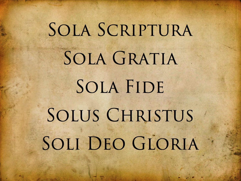## SOLA SCRIPTURA SOLA GRATIA SOLA FIDE SOLUS CHRISTUS SOLI DEO GLORIA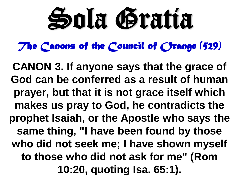## Sola Gratia

The Canons of the Council of *Crange* (529)

**CANON 3. If anyone says that the grace of God can be conferred as a result of human prayer, but that it is not grace itself which makes us pray to God, he contradicts the prophet Isaiah, or the Apostle who says the same thing, "I have been found by those who did not seek me; I have shown myself to those who did not ask for me" (Rom 10:20, quoting Isa. 65:1).**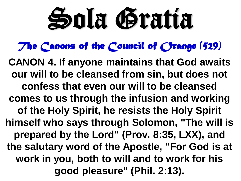## Sola Gratia

The Canons of the Council of *Crange* (529)

**CANON 4. If anyone maintains that God awaits our will to be cleansed from sin, but does not confess that even our will to be cleansed comes to us through the infusion and working of the Holy Spirit, he resists the Holy Spirit himself who says through Solomon, "The will is prepared by the Lord" (Prov. 8:35, LXX), and the salutary word of the Apostle, "For God is at work in you, both to will and to work for his good pleasure" (Phil. 2:13).**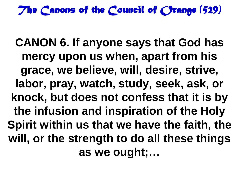The Canons of the Council of *Crange* (529)

**CANON 6. If anyone says that God has mercy upon us when, apart from his grace, we believe, will, desire, strive, labor, pray, watch, study, seek, ask, or knock, but does not confess that it is by the infusion and inspiration of the Holy Spirit within us that we have the faith, the will, or the strength to do all these things as we ought;…**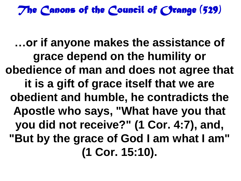The Canons of the Council of *Crange* (529)

**…or if anyone makes the assistance of grace depend on the humility or obedience of man and does not agree that it is a gift of grace itself that we are obedient and humble, he contradicts the Apostle who says, "What have you that you did not receive?" (1 Cor. 4:7), and, "But by the grace of God I am what I am" (1 Cor. 15:10).**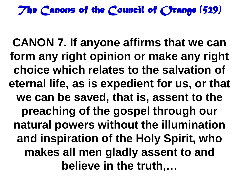The Canons of the Council of *Crange* (529)

**CANON 7. If anyone affirms that we can form any right opinion or make any right choice which relates to the salvation of eternal life, as is expedient for us, or that we can be saved, that is, assent to the preaching of the gospel through our natural powers without the illumination and inspiration of the Holy Spirit, who makes all men gladly assent to and believe in the truth,…**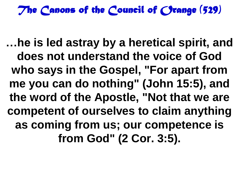*The Canons of the Council of Orange (529)* 

**…he is led astray by a heretical spirit, and does not understand the voice of God who says in the Gospel, "For apart from me you can do nothing" (John 15:5), and the word of the Apostle, "Not that we are competent of ourselves to claim anything as coming from us; our competence is from God" (2 Cor. 3:5).**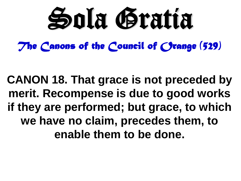

*The Canons of the Council of Orange (529)* 

**CANON 18. That grace is not preceded by merit. Recompense is due to good works if they are performed; but grace, to which we have no claim, precedes them, to enable them to be done.**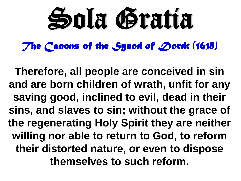# Sola Gratia

*The Canons of the Synod of Dordt (1618)* 

**Therefore, all people are conceived in sin and are born children of wrath, unfit for any saving good, inclined to evil, dead in their sins, and slaves to sin; without the grace of the regenerating Holy Spirit they are neither willing nor able to return to God, to reform their distorted nature, or even to dispose themselves to such reform.**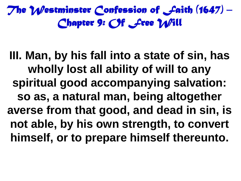### *The Westminster Confession of Faith (1647) – Chapter 9: Of Free Will*

**III. Man, by his fall into a state of sin, has wholly lost all ability of will to any spiritual good accompanying salvation: so as, a natural man, being altogether averse from that good, and dead in sin, is not able, by his own strength, to convert himself, or to prepare himself thereunto.**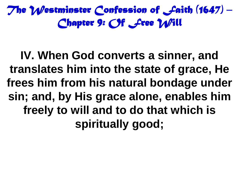*The Westminster Confession of Faith (1647) – Chapter 9: Of Free Will* 

**IV. When God converts a sinner, and translates him into the state of grace, He frees him from his natural bondage under sin; and, by His grace alone, enables him freely to will and to do that which is spiritually good;**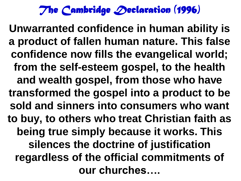*The Cambridge Declaration (1996)* 

**Unwarranted confidence in human ability is a product of fallen human nature. This false confidence now fills the evangelical world; from the self-esteem gospel, to the health and wealth gospel, from those who have transformed the gospel into a product to be sold and sinners into consumers who want to buy, to others who treat Christian faith as being true simply because it works. This silences the doctrine of justification regardless of the official commitments of our churches….**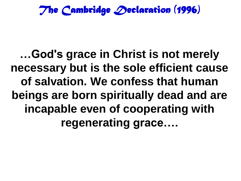*The Cambridge Declaration (1996)* 

**…God's grace in Christ is not merely necessary but is the sole efficient cause of salvation. We confess that human beings are born spiritually dead and are incapable even of cooperating with regenerating grace….**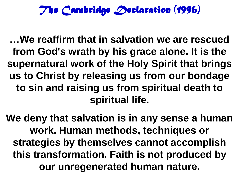#### *The Cambridge Declaration (1996)*

**…We reaffirm that in salvation we are rescued from God's wrath by his grace alone. It is the supernatural work of the Holy Spirit that brings us to Christ by releasing us from our bondage to sin and raising us from spiritual death to spiritual life.**

**We deny that salvation is in any sense a human work. Human methods, techniques or strategies by themselves cannot accomplish this transformation. Faith is not produced by our unregenerated human nature.**